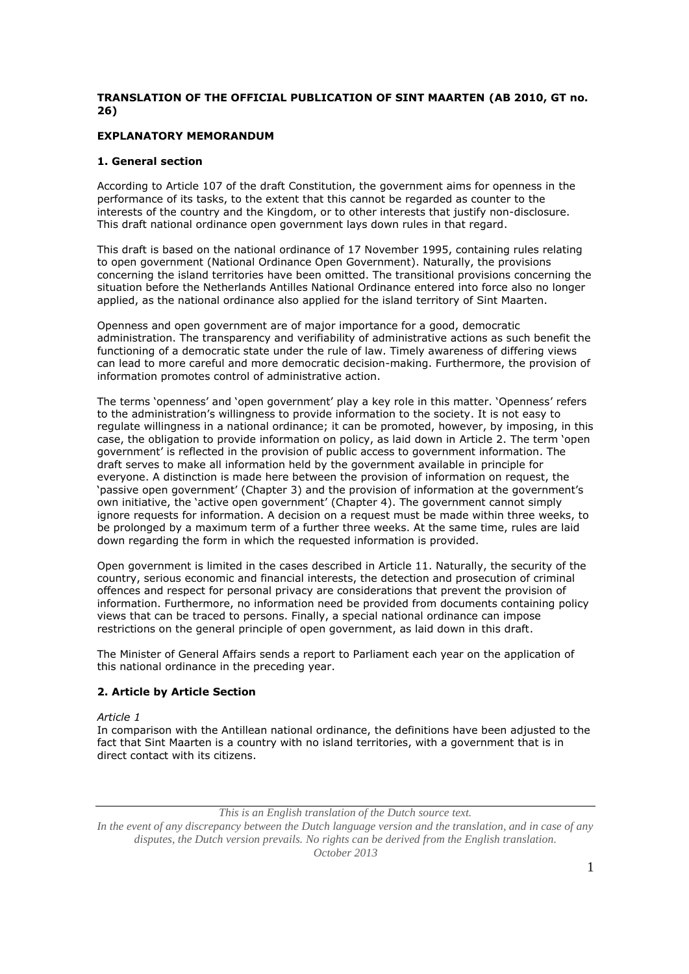# **TRANSLATION OF THE OFFICIAL PUBLICATION OF SINT MAARTEN (AB 2010, GT no. 26)**

# **EXPLANATORY MEMORANDUM**

# **1. General section**

According to Article 107 of the draft Constitution, the government aims for openness in the performance of its tasks, to the extent that this cannot be regarded as counter to the interests of the country and the Kingdom, or to other interests that justify non-disclosure. This draft national ordinance open government lays down rules in that regard.

This draft is based on the national ordinance of 17 November 1995, containing rules relating to open government (National Ordinance Open Government). Naturally, the provisions concerning the island territories have been omitted. The transitional provisions concerning the situation before the Netherlands Antilles National Ordinance entered into force also no longer applied, as the national ordinance also applied for the island territory of Sint Maarten.

Openness and open government are of major importance for a good, democratic administration. The transparency and verifiability of administrative actions as such benefit the functioning of a democratic state under the rule of law. Timely awareness of differing views can lead to more careful and more democratic decision-making. Furthermore, the provision of information promotes control of administrative action.

The terms 'openness' and 'open government' play a key role in this matter. 'Openness' refers to the administration's willingness to provide information to the society. It is not easy to regulate willingness in a national ordinance; it can be promoted, however, by imposing, in this case, the obligation to provide information on policy, as laid down in Article 2. The term 'open government' is reflected in the provision of public access to government information. The draft serves to make all information held by the government available in principle for everyone. A distinction is made here between the provision of information on request, the 'passive open government' (Chapter 3) and the provision of information at the government's own initiative, the 'active open government' (Chapter 4). The government cannot simply ignore requests for information. A decision on a request must be made within three weeks, to be prolonged by a maximum term of a further three weeks. At the same time, rules are laid down regarding the form in which the requested information is provided.

Open government is limited in the cases described in Article 11. Naturally, the security of the country, serious economic and financial interests, the detection and prosecution of criminal offences and respect for personal privacy are considerations that prevent the provision of information. Furthermore, no information need be provided from documents containing policy views that can be traced to persons. Finally, a special national ordinance can impose restrictions on the general principle of open government, as laid down in this draft.

The Minister of General Affairs sends a report to Parliament each year on the application of this national ordinance in the preceding year.

# **2. Article by Article Section**

*Article 1*

In comparison with the Antillean national ordinance, the definitions have been adjusted to the fact that Sint Maarten is a country with no island territories, with a government that is in direct contact with its citizens.

*This is an English translation of the Dutch source text.*

*In the event of any discrepancy between the Dutch language version and the translation, and in case of any disputes, the Dutch version prevails. No rights can be derived from the English translation. October 2013*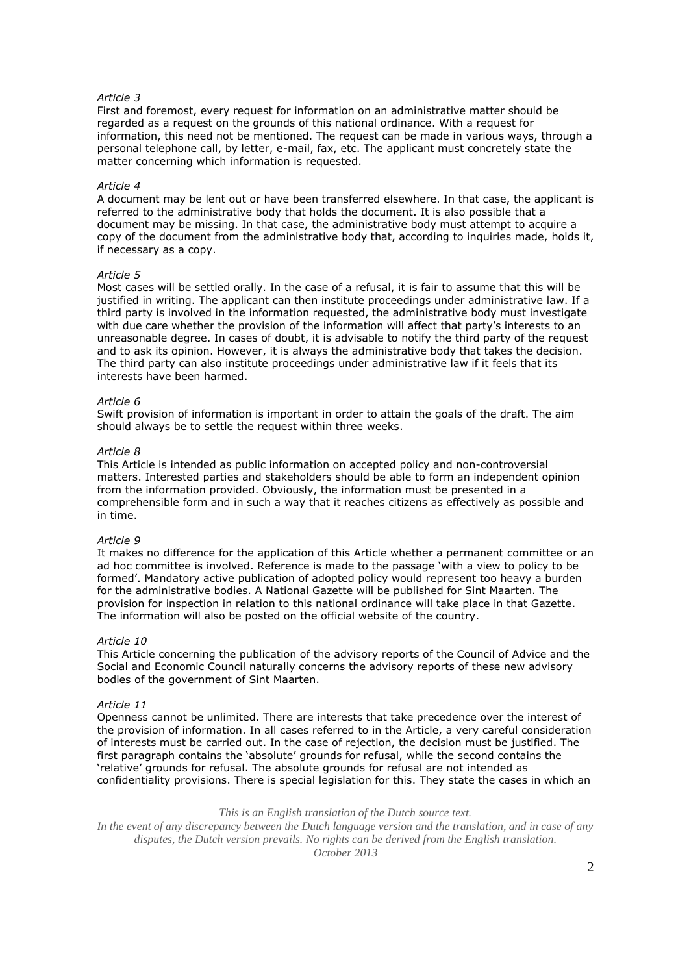## *Article 3*

First and foremost, every request for information on an administrative matter should be regarded as a request on the grounds of this national ordinance. With a request for information, this need not be mentioned. The request can be made in various ways, through a personal telephone call, by letter, e-mail, fax, etc. The applicant must concretely state the matter concerning which information is requested.

## *Article 4*

A document may be lent out or have been transferred elsewhere. In that case, the applicant is referred to the administrative body that holds the document. It is also possible that a document may be missing. In that case, the administrative body must attempt to acquire a copy of the document from the administrative body that, according to inquiries made, holds it, if necessary as a copy.

#### *Article 5*

Most cases will be settled orally. In the case of a refusal, it is fair to assume that this will be justified in writing. The applicant can then institute proceedings under administrative law. If a third party is involved in the information requested, the administrative body must investigate with due care whether the provision of the information will affect that party's interests to an unreasonable degree. In cases of doubt, it is advisable to notify the third party of the request and to ask its opinion. However, it is always the administrative body that takes the decision. The third party can also institute proceedings under administrative law if it feels that its interests have been harmed.

## *Article 6*

Swift provision of information is important in order to attain the goals of the draft. The aim should always be to settle the request within three weeks.

#### *Article 8*

This Article is intended as public information on accepted policy and non-controversial matters. Interested parties and stakeholders should be able to form an independent opinion from the information provided. Obviously, the information must be presented in a comprehensible form and in such a way that it reaches citizens as effectively as possible and in time.

## *Article 9*

It makes no difference for the application of this Article whether a permanent committee or an ad hoc committee is involved. Reference is made to the passage 'with a view to policy to be formed'. Mandatory active publication of adopted policy would represent too heavy a burden for the administrative bodies. A National Gazette will be published for Sint Maarten. The provision for inspection in relation to this national ordinance will take place in that Gazette. The information will also be posted on the official website of the country.

## *Article 10*

This Article concerning the publication of the advisory reports of the Council of Advice and the Social and Economic Council naturally concerns the advisory reports of these new advisory bodies of the government of Sint Maarten.

## *Article 11*

Openness cannot be unlimited. There are interests that take precedence over the interest of the provision of information. In all cases referred to in the Article, a very careful consideration of interests must be carried out. In the case of rejection, the decision must be justified. The first paragraph contains the 'absolute' grounds for refusal, while the second contains the 'relative' grounds for refusal. The absolute grounds for refusal are not intended as confidentiality provisions. There is special legislation for this. They state the cases in which an

# *This is an English translation of the Dutch source text.*

*In the event of any discrepancy between the Dutch language version and the translation, and in case of any disputes, the Dutch version prevails. No rights can be derived from the English translation. October 2013*